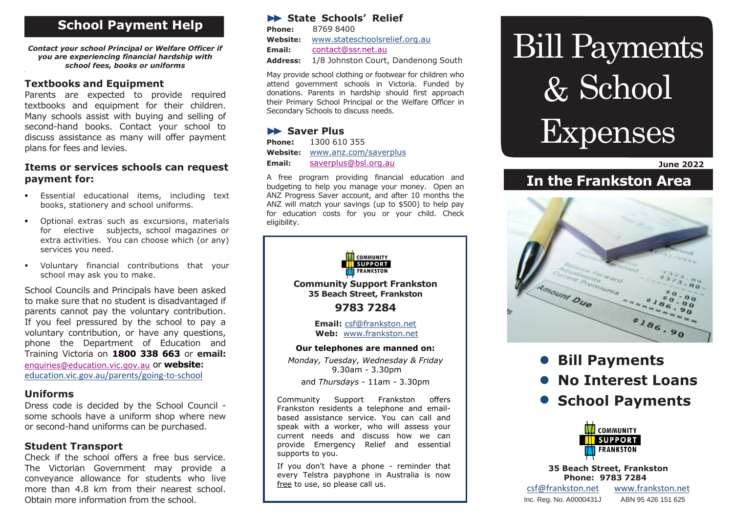# . **School Payment Help**

*Contact your school Principal or Welfare Officer if you are experiencing financial hardship with school fees, books or uniforms*

#### **Textbooks and Equipment**

**.**

Parents are expected to provide required textbooks and equipment for their children. Many schools assist with buying and selling of second-hand books. Contact your school to discuss assistance as many will offer payment plans for fees and levies.

#### **Items or services schools can request payment for:**

- Essential educational items, including text books, stationery and school uniforms.
- Optional extras such as excursions, materials for elective subjects, school magazines or extra activities. You can choose which (or any) services you need.
- Voluntary financial contributions that your school may ask you to make.

School Councils and Principals have been asked to make sure that no student is disadvantaged if parents cannot pay the voluntary contribution. If you feel pressured by the school to pay a voluntary contribution, or have any questions, phone the Department of Education and Training Victoria on **1800 338 663** or **email:** [enquiries@education.vic.gov.au](mailto:enquiries@education.vic.gov.au) or **website:** [education.vic.gov.au/parents/going-to-school](https://www.education.vic.gov.au/parents/Pages/school-age.aspx)

#### **Uniforms**

Dress code is decided by the School Council some schools have a uniform shop where new or second-hand uniforms can be purchased.

### **Student Transport**

Check if the school offers a free bus service. The Victorian Government may provide a conveyance allowance for students who live more than 4.8 km from their nearest school. Obtain more information from the school.

#### **State Schools' Relief**

**Phone:** 8769 8400 **Website:** [www.stateschoolsrelief.org.au](http://www.stateschoolsrelief.org.au/) **Email:** [contact@ssr.net.au](mailto:contact@ssr.net.au) **Address:** 1/8 Johnston Court, Dandenong South

May provide school clothing or footwear for children who attend government schools in Victoria. Funded by donations. Parents in hardship should first approach their Primary School Principal or the Welfare Officer in Secondary Schools to discuss needs.

#### **Saver Plus**

| <b>Phone:</b> | 1300 610 355          |
|---------------|-----------------------|
| Website:      | www.anz.com/saverplus |
| Email:        | saverplus@bsl.org.au  |

A free program providing financial education and budgeting to help you manage your money. Open an ANZ Progress Saver account, and after 10 months the ANZ will match your savings (up to \$500) to help pay for education costs for you or your child. Check eligibility.



Community Support Frankston offers Frankston residents a telephone and emailbased assistance service. You can call and speak with a worker, who will assess your current needs and discuss how we can provide Emergency Relief and essential supports to you.

If you don't have a phone - reminder that every Telstra payphone in Australia is now free to use, so please call us.

# Bill Payments & School Expenses

#### **June 2022**

# **In the Frankston Area**



- **Bill Payments**
- **No Interest Loans**
- **School Payments**



**35 Beach Street, Frankston Phone: 9783 7284** [csf@frankston.net](mailto:csf@frankston.net) [www.frankston.net](http://www.frankston.net/)

Inc. Reg. No. A0000431J ABN 95 426 151 625